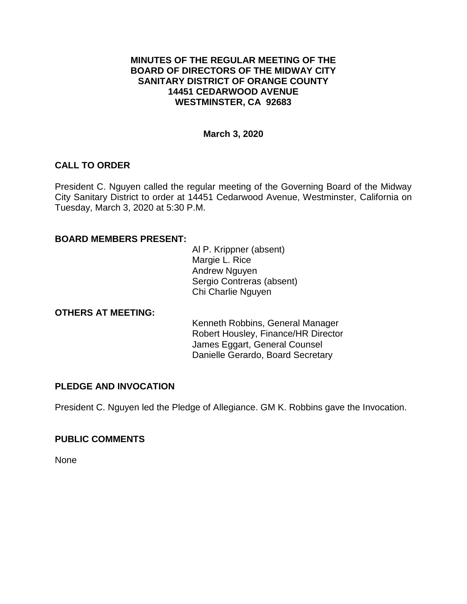### **MINUTES OF THE REGULAR MEETING OF THE BOARD OF DIRECTORS OF THE MIDWAY CITY SANITARY DISTRICT OF ORANGE COUNTY 14451 CEDARWOOD AVENUE WESTMINSTER, CA 92683**

### **March 3, 2020**

## **CALL TO ORDER**

President C. Nguyen called the regular meeting of the Governing Board of the Midway City Sanitary District to order at 14451 Cedarwood Avenue, Westminster, California on Tuesday, March 3, 2020 at 5:30 P.M.

### **BOARD MEMBERS PRESENT:**

Al P. Krippner (absent) Margie L. Rice Andrew Nguyen Sergio Contreras (absent) Chi Charlie Nguyen

### **OTHERS AT MEETING:**

Kenneth Robbins, General Manager Robert Housley, Finance/HR Director James Eggart, General Counsel Danielle Gerardo, Board Secretary

### **PLEDGE AND INVOCATION**

President C. Nguyen led the Pledge of Allegiance. GM K. Robbins gave the Invocation.

### **PUBLIC COMMENTS**

None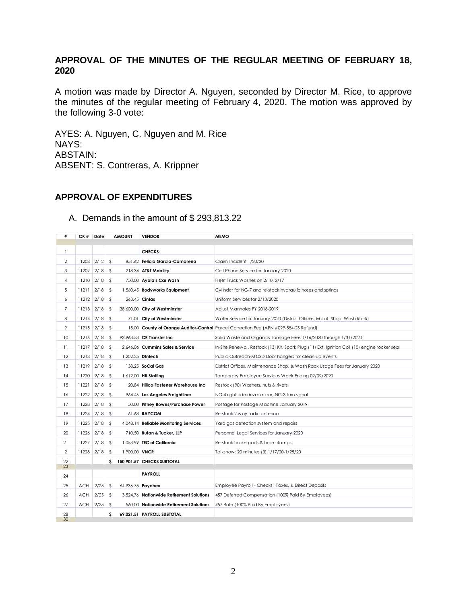# **APPROVAL OF THE MINUTES OF THE REGULAR MEETING OF FEBRUARY 18,**

A motion was made by Director A. Nguyen, seconded by Director M. Rice, to approve the minutes of the regular meeting of February 4, 2020. The motion was approved by the following 3-0 vote:

AYES: A. Nguyen, C. Nguyen and M. Rice NAYS: ABSTAIN: ABSENT: S. Contreras, A. Krippner

### **APPROVAL OF EXPENDITURES**

#### A. Demands in the amount of \$ 293,813.22

| #               | CK# Date        |           | <b>AMOUNT</b>       | <b>VENDOR</b>                            | <b>MEMO</b>                                                                                   |
|-----------------|-----------------|-----------|---------------------|------------------------------------------|-----------------------------------------------------------------------------------------------|
|                 |                 |           |                     |                                          |                                                                                               |
| 1               |                 |           |                     | CHECKS:                                  |                                                                                               |
| 2               | $11208$ 2/12 \$ |           |                     | 851.62 Felicia Garcia-Camarena           | Claim Incident 1/20/20                                                                        |
| 3               | $11209$ 2/18 \$ |           |                     | 218.34 AT&T Mobility                     | Cell Phone Service for January 2020                                                           |
| 4               | $11210$ 2/18    |           | \$                  | 750.00 Ayala's Car Wash                  | Fleet Truck Washes on 2/10, 2/17                                                              |
| 5               | $11211$ 2/18    |           | \$                  | 1,560.45 Bodyworks Equipment             | Cylinder for NG-7 and re-stock hydraulic hoses and springs                                    |
| 6               | $11212$ 2/18    |           | \$                  | 263.45 Cintas                            | Uniform Services for 2/13/2020                                                                |
| $\overline{7}$  | $11213$ 2/18    |           | \$                  | 38,600.00 City of Westminster            | Adjust Manholes FY 2018-2019                                                                  |
| 8               | $11214$ 2/18    |           | \$                  | 171.01 City of Westminster               | Water Service for January 2020 (District Offices, Maint. Shop, Wash Rack)                     |
| 9               | $11215$ 2/18    |           | -\$                 |                                          | 15.00 County of Orange Auditor-Control Parcel Correction Fee (APN #099-554-23 Refund)         |
| 10              | $11216$ 2/18    |           | -\$                 | 93,963.53 CR Transfer Inc                | Solid Waste and Organics Tonnage Fees 1/16/2020 through 1/31/2020                             |
| $\overline{11}$ | $11217$ 2/18    |           | \$                  | 2,646.06 Cummins Sales & Service         | In-Site Renewal, Restock (13) Kit, Spark Plug (11) Ext, Ignition Coil (10) engine rocker seal |
| 12              | $11218$ 2/18    |           | \$                  | 1,202.25 Diniech                         | Public Outreach-MCSD Door hangers for clean-up events                                         |
| 13              | $11219$ 2/18    |           | \$                  | 138.25 SoCal Gas                         | District Offices, Maintenance Shop, & Wash Rack Usage Fees for January 2020                   |
| 4               | 11220 2/18      |           | - \$                | 1,612.00 HB Staffing                     | Temporary Employee Services Week Ending 02/09/2020                                            |
| 15              | 11221           | $2/18$ \$ |                     | 20.84 Hillco Fastener Warehouse Inc      | Restock (90) Washers, nuts & rivets                                                           |
| 16              | $11222$ 2/18 \$ |           |                     | 964.46 Los Angeles Freightliner          | NG-4 right side driver mirror, NG-3 turn signal                                               |
| 17              | $11223$ 2/18    |           | \$                  | 150.00 Pitney Bowes/Purchase Power       | Postage for Postage Machine January 2019                                                      |
| 18              | $11224$ 2/18 \$ |           |                     | 61.68 <b>RAYCOM</b>                      | Re-stock 2 way radio antenna                                                                  |
| 19              | $11225$ 2/18 \$ |           |                     | 4,048.14 Reliable Monitoring Services    | Yard gas detection system and repairs                                                         |
| 20              | 11226 2/18      |           | \$                  | 710.50 Rutan & Tucker, LLP               | Personnel Legal Services for January 2020                                                     |
| 21              | 11227           | 2/18      | \$                  | 1,053.99 TEC of California               | Re-stock brake pads & hose clamps                                                             |
| $\overline{2}$  | $11228$ 2/18    |           | \$<br>1,900.00 VNCR |                                          | Talkshow: 20 minutes (3) 1/17/20-1/25/20                                                      |
| 22              |                 |           |                     | \$ 150,901.57 CHECKS SUBTOTAL            |                                                                                               |
| 23              |                 |           |                     |                                          |                                                                                               |
| 24              |                 |           |                     | <b>PAYROLL</b>                           |                                                                                               |
| 25              | ACH             | 2/25      | \$                  | 64,936.75 Paychex                        | Employee Payroll - Checks, Taxes, & Direct Deposits                                           |
| 26              | <b>ACH</b>      | 2/25      | \$                  | 3,524.76 Nationwide Retirement Solutions | 457 Deferred Compensation (100% Paid By Employees)                                            |
| 27              | ACH             | 2/25      | -\$                 | 560.00 Nationwide Retirement Solutions   | 457 Roth (100% Paid By Employees)                                                             |
| 28<br>30        |                 |           | s                   | 69,021.51 PAYROLL SUBTOTAL               |                                                                                               |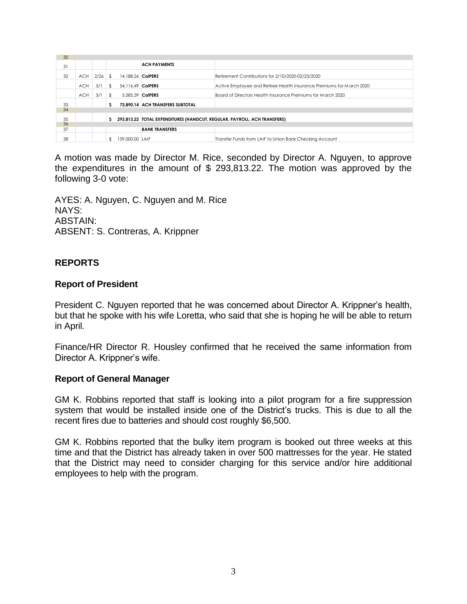| 30 |            |           |    |                   |                                                                          |                                                                      |  |
|----|------------|-----------|----|-------------------|--------------------------------------------------------------------------|----------------------------------------------------------------------|--|
| 31 |            |           |    |                   | <b>ACH PAYMENTS</b>                                                      |                                                                      |  |
| 32 | <b>ACH</b> | $2/26$ \$ |    | 14.188.26 CalPERS |                                                                          | Retirement Contributions for 2/10/2020-02/23/2020                    |  |
|    | <b>ACH</b> | 3/1       | \$ | 54.116.49 CalPERS |                                                                          | Active Employee and Retiree Health Insurance Premiums for March 2020 |  |
|    | <b>ACH</b> | 3/1       | \$ | 5.585.39 CalPERS  |                                                                          | Board of Directors Health Insurance Premiums for March 2020          |  |
| 33 |            |           | s  |                   | 73.890.14 ACH TRANSFERS SUBTOTAL                                         |                                                                      |  |
| 34 |            |           |    |                   |                                                                          |                                                                      |  |
| 35 |            |           | s  |                   | 293,813.22 TOTAL EXPENDITURES (HANDCUT, REGULAR, PAYROLL, ACH TRANSFERS) |                                                                      |  |
| 36 |            |           |    |                   |                                                                          |                                                                      |  |
| 37 |            |           |    |                   | <b>BANK TRANSFERS</b>                                                    |                                                                      |  |
| 38 |            |           | S. | 159,000.00 LAIF   |                                                                          | Transfer Funds from LAIF to Union Bank Checking Account              |  |

A motion was made by Director M. Rice, seconded by Director A. Nguyen, to approve the expenditures in the amount of \$ 293,813.22. The motion was approved by the following 3-0 vote:

AYES: A. Nguyen, C. Nguyen and M. Rice NAYS: ABSTAIN: ABSENT: S. Contreras, A. Krippner

### **REPORTS**

### **Report of President**

President C. Nguyen reported that he was concerned about Director A. Krippner's health, but that he spoke with his wife Loretta, who said that she is hoping he will be able to return in April.

Finance/HR Director R. Housley confirmed that he received the same information from Director A. Krippner's wife.

#### **Report of General Manager**

GM K. Robbins reported that staff is looking into a pilot program for a fire suppression system that would be installed inside one of the District's trucks. This is due to all the recent fires due to batteries and should cost roughly \$6,500.

GM K. Robbins reported that the bulky item program is booked out three weeks at this time and that the District has already taken in over 500 mattresses for the year. He stated that the District may need to consider charging for this service and/or hire additional employees to help with the program.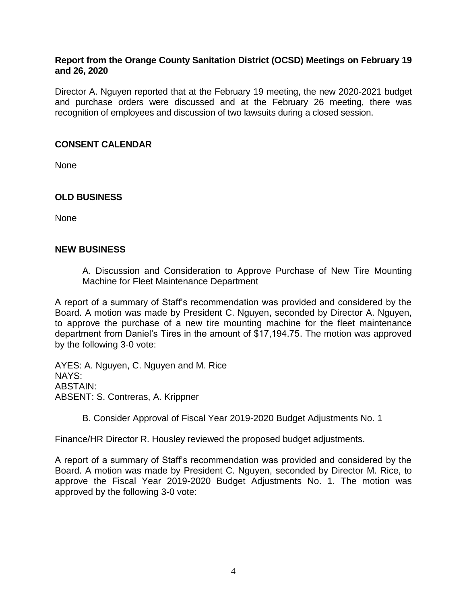### **Report from the Orange County Sanitation District (OCSD) Meetings on February 19 and 26, 2020**

Director A. Nguyen reported that at the February 19 meeting, the new 2020-2021 budget and purchase orders were discussed and at the February 26 meeting, there was recognition of employees and discussion of two lawsuits during a closed session.

### **CONSENT CALENDAR**

None

### **OLD BUSINESS**

None

### **NEW BUSINESS**

A. Discussion and Consideration to Approve Purchase of New Tire Mounting Machine for Fleet Maintenance Department

A report of a summary of Staff's recommendation was provided and considered by the Board. A motion was made by President C. Nguyen, seconded by Director A. Nguyen, to approve the purchase of a new tire mounting machine for the fleet maintenance department from Daniel's Tires in the amount of \$17,194.75. The motion was approved by the following 3-0 vote:

AYES: A. Nguyen, C. Nguyen and M. Rice NAYS: ABSTAIN: ABSENT: S. Contreras, A. Krippner

B. Consider Approval of Fiscal Year 2019-2020 Budget Adjustments No. 1

Finance/HR Director R. Housley reviewed the proposed budget adjustments.

A report of a summary of Staff's recommendation was provided and considered by the Board. A motion was made by President C. Nguyen, seconded by Director M. Rice, to approve the Fiscal Year 2019-2020 Budget Adjustments No. 1. The motion was approved by the following 3-0 vote: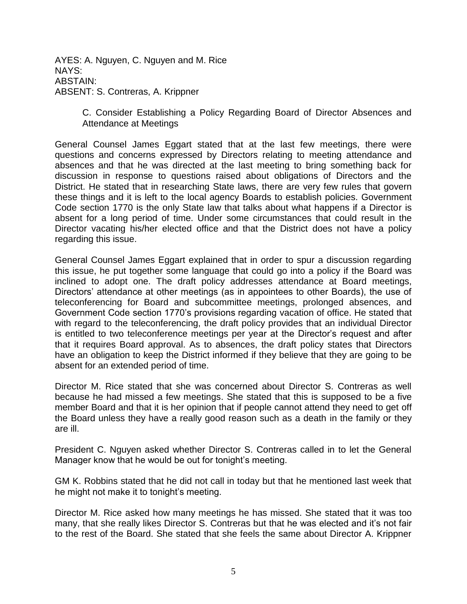AYES: A. Nguyen, C. Nguyen and M. Rice NAYS: ABSTAIN: ABSENT: S. Contreras, A. Krippner

> C. Consider Establishing a Policy Regarding Board of Director Absences and Attendance at Meetings

General Counsel James Eggart stated that at the last few meetings, there were questions and concerns expressed by Directors relating to meeting attendance and absences and that he was directed at the last meeting to bring something back for discussion in response to questions raised about obligations of Directors and the District. He stated that in researching State laws, there are very few rules that govern these things and it is left to the local agency Boards to establish policies. Government Code section 1770 is the only State law that talks about what happens if a Director is absent for a long period of time. Under some circumstances that could result in the Director vacating his/her elected office and that the District does not have a policy regarding this issue.

General Counsel James Eggart explained that in order to spur a discussion regarding this issue, he put together some language that could go into a policy if the Board was inclined to adopt one. The draft policy addresses attendance at Board meetings, Directors' attendance at other meetings (as in appointees to other Boards), the use of teleconferencing for Board and subcommittee meetings, prolonged absences, and Government Code section 1770's provisions regarding vacation of office. He stated that with regard to the teleconferencing, the draft policy provides that an individual Director is entitled to two teleconference meetings per year at the Director's request and after that it requires Board approval. As to absences, the draft policy states that Directors have an obligation to keep the District informed if they believe that they are going to be absent for an extended period of time.

Director M. Rice stated that she was concerned about Director S. Contreras as well because he had missed a few meetings. She stated that this is supposed to be a five member Board and that it is her opinion that if people cannot attend they need to get off the Board unless they have a really good reason such as a death in the family or they are ill.

President C. Nguyen asked whether Director S. Contreras called in to let the General Manager know that he would be out for tonight's meeting.

GM K. Robbins stated that he did not call in today but that he mentioned last week that he might not make it to tonight's meeting.

Director M. Rice asked how many meetings he has missed. She stated that it was too many, that she really likes Director S. Contreras but that he was elected and it's not fair to the rest of the Board. She stated that she feels the same about Director A. Krippner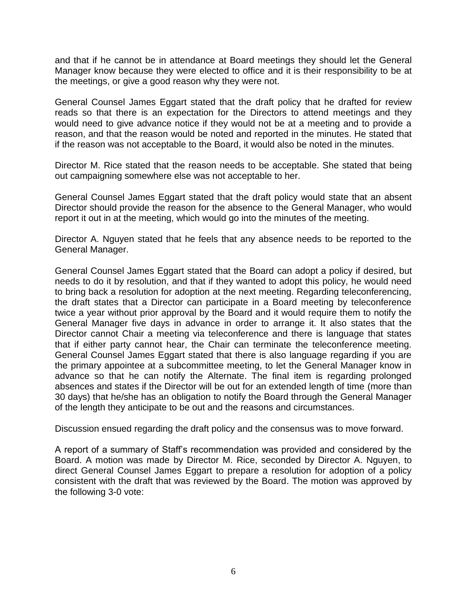and that if he cannot be in attendance at Board meetings they should let the General Manager know because they were elected to office and it is their responsibility to be at the meetings, or give a good reason why they were not.

General Counsel James Eggart stated that the draft policy that he drafted for review reads so that there is an expectation for the Directors to attend meetings and they would need to give advance notice if they would not be at a meeting and to provide a reason, and that the reason would be noted and reported in the minutes. He stated that if the reason was not acceptable to the Board, it would also be noted in the minutes.

Director M. Rice stated that the reason needs to be acceptable. She stated that being out campaigning somewhere else was not acceptable to her.

General Counsel James Eggart stated that the draft policy would state that an absent Director should provide the reason for the absence to the General Manager, who would report it out in at the meeting, which would go into the minutes of the meeting.

Director A. Nguyen stated that he feels that any absence needs to be reported to the General Manager.

General Counsel James Eggart stated that the Board can adopt a policy if desired, but needs to do it by resolution, and that if they wanted to adopt this policy, he would need to bring back a resolution for adoption at the next meeting. Regarding teleconferencing, the draft states that a Director can participate in a Board meeting by teleconference twice a year without prior approval by the Board and it would require them to notify the General Manager five days in advance in order to arrange it. It also states that the Director cannot Chair a meeting via teleconference and there is language that states that if either party cannot hear, the Chair can terminate the teleconference meeting. General Counsel James Eggart stated that there is also language regarding if you are the primary appointee at a subcommittee meeting, to let the General Manager know in advance so that he can notify the Alternate. The final item is regarding prolonged absences and states if the Director will be out for an extended length of time (more than 30 days) that he/she has an obligation to notify the Board through the General Manager of the length they anticipate to be out and the reasons and circumstances.

Discussion ensued regarding the draft policy and the consensus was to move forward.

A report of a summary of Staff's recommendation was provided and considered by the Board. A motion was made by Director M. Rice, seconded by Director A. Nguyen, to direct General Counsel James Eggart to prepare a resolution for adoption of a policy consistent with the draft that was reviewed by the Board. The motion was approved by the following 3-0 vote: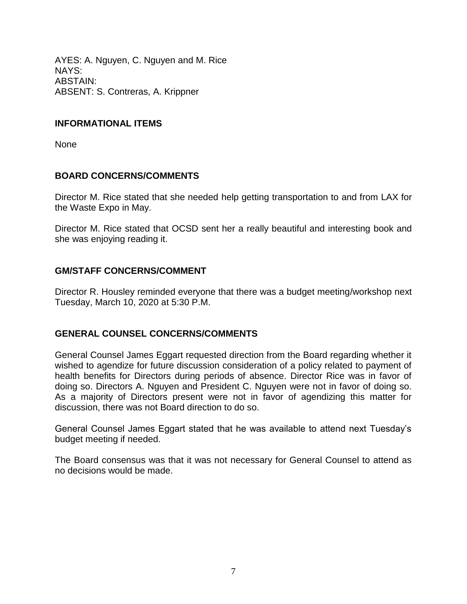AYES: A. Nguyen, C. Nguyen and M. Rice NAYS: ABSTAIN: ABSENT: S. Contreras, A. Krippner

### **INFORMATIONAL ITEMS**

None

### **BOARD CONCERNS/COMMENTS**

Director M. Rice stated that she needed help getting transportation to and from LAX for the Waste Expo in May.

Director M. Rice stated that OCSD sent her a really beautiful and interesting book and she was enjoying reading it.

## **GM/STAFF CONCERNS/COMMENT**

Director R. Housley reminded everyone that there was a budget meeting/workshop next Tuesday, March 10, 2020 at 5:30 P.M.

### **GENERAL COUNSEL CONCERNS/COMMENTS**

General Counsel James Eggart requested direction from the Board regarding whether it wished to agendize for future discussion consideration of a policy related to payment of health benefits for Directors during periods of absence. Director Rice was in favor of doing so. Directors A. Nguyen and President C. Nguyen were not in favor of doing so. As a majority of Directors present were not in favor of agendizing this matter for discussion, there was not Board direction to do so.

General Counsel James Eggart stated that he was available to attend next Tuesday's budget meeting if needed.

The Board consensus was that it was not necessary for General Counsel to attend as no decisions would be made.